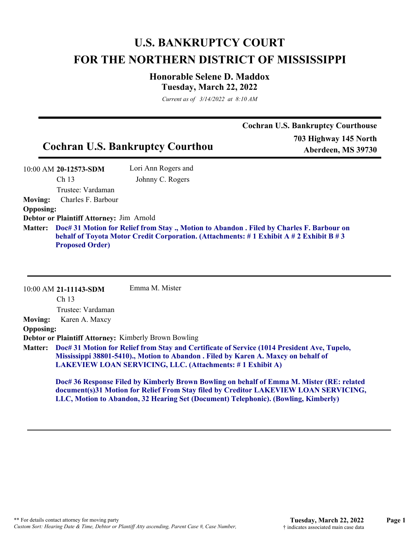## **U.S. BANKRUPTCY COURT FOR THE NORTHERN DISTRICT OF MISSISSIPPI**

## **Honorable Selene D. Maddox Tuesday, March 22, 2022**

*Current as of 3/14/2022 at 8:10 AM*

|                                          |                     | <b>Cochran U.S. Bankruptcy Courthouse</b>   |
|------------------------------------------|---------------------|---------------------------------------------|
| <b>Cochran U.S. Bankruptcy Courthou</b>  |                     | 703 Highway 145 North<br>Aberdeen, MS 39730 |
| 10:00 AM 20-12573-SDM                    | Lori Ann Rogers and |                                             |
| Ch <sub>13</sub>                         | Johnny C. Rogers    |                                             |
| Trustee: Vardaman                        |                     |                                             |
| Charles F. Barbour<br><b>Moving:</b>     |                     |                                             |
| <b>Opposing:</b>                         |                     |                                             |
| Debtor or Plaintiff Attorney: Jim Arnold |                     |                                             |

**Doc# 31 Motion for Relief from Stay ., Motion to Abandon . Filed by Charles F. Barbour on Matter: behalf of Toyota Motor Credit Corporation. (Attachments: # 1 Exhibit A # 2 Exhibit B # 3 Proposed Order)**

|                  | 10:00 AM 21-11143-SDM | Emma M. Mister                                                                                                                                                                            |
|------------------|-----------------------|-------------------------------------------------------------------------------------------------------------------------------------------------------------------------------------------|
|                  | Ch <sub>13</sub>      |                                                                                                                                                                                           |
|                  | Trustee: Vardaman     |                                                                                                                                                                                           |
| <b>Moving:</b>   | Karen A. Maxcy        |                                                                                                                                                                                           |
| <b>Opposing:</b> |                       |                                                                                                                                                                                           |
|                  |                       | <b>Debtor or Plaintiff Attorney: Kimberly Brown Bowling</b>                                                                                                                               |
|                  |                       | Matter: Doc# 31 Motion for Relief from Stay and Certificate of Service (1014 President Ave, Tupelo,<br>Mississippi 38801-5410)., Motion to Abandon . Filed by Karen A. Maxcy on behalf of |
|                  |                       | LAKEVIEW LOAN SERVICING, LLC. (Attachments: #1 Exhibit A)                                                                                                                                 |
|                  |                       | Doc# 36 Response Filed by Kimberly Brown Bowling on behalf of Emma M. Mister (RE: related<br>document(s)31 Motion for Relief From Stay filed by Creditor LAKEVIEW LOAN SERVICING,         |

**LLC, Motion to Abandon, 32 Hearing Set (Document) Telephonic). (Bowling, Kimberly)**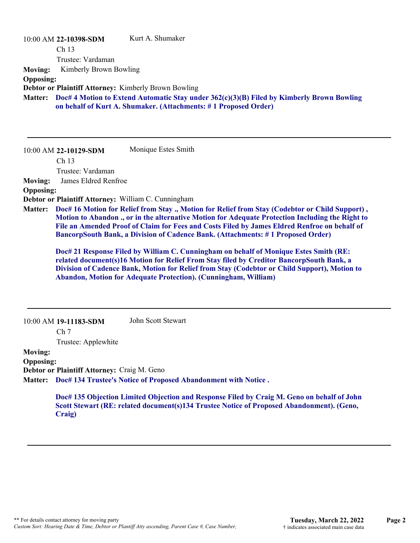| 10:00 AM 22-10398-SDM                 | Kurt A. Shumaker                                            |
|---------------------------------------|-------------------------------------------------------------|
| Ch <sub>13</sub>                      |                                                             |
| Trustee: Vardaman                     |                                                             |
| <b>Moving:</b> Kimberly Brown Bowling |                                                             |
| <b>Opposing:</b>                      |                                                             |
|                                       | <b>Debtor or Plaintiff Attorney: Kimberly Brown Bowling</b> |

**Doc# 4 Motion to Extend Automatic Stay under 362(c)(3)(B) Filed by Kimberly Brown Bowling Matter: on behalf of Kurt A. Shumaker. (Attachments: # 1 Proposed Order)**

10:00 AM **22-10129-SDM**  Monique Estes Smith

Ch 13

Trustee: Vardaman

**Moving:** James Eldred Renfroe

**Opposing:**

**Debtor or Plaintiff Attorney:** William C. Cunningham

**Doc# 16 Motion for Relief from Stay ., Motion for Relief from Stay (Codebtor or Child Support) , Matter: Motion to Abandon ., or in the alternative Motion for Adequate Protection Including the Right to File an Amended Proof of Claim for Fees and Costs Filed by James Eldred Renfroe on behalf of BancorpSouth Bank, a Division of Cadence Bank. (Attachments: # 1 Proposed Order)**

**Doc# 21 Response Filed by William C. Cunningham on behalf of Monique Estes Smith (RE: related document(s)16 Motion for Relief From Stay filed by Creditor BancorpSouth Bank, a Division of Cadence Bank, Motion for Relief from Stay (Codebtor or Child Support), Motion to Abandon, Motion for Adequate Protection). (Cunningham, William)**

10:00 AM **19-11183-SDM**  John Scott Stewart

Ch 7

Trustee: Applewhite

**Moving:**

**Opposing:**

**Debtor or Plaintiff Attorney:** Craig M. Geno

**Doc# 134 Trustee's Notice of Proposed Abandonment with Notice . Matter:**

**Doc# 135 Objection Limited Objection and Response Filed by Craig M. Geno on behalf of John Scott Stewart (RE: related document(s)134 Trustee Notice of Proposed Abandonment). (Geno, Craig)**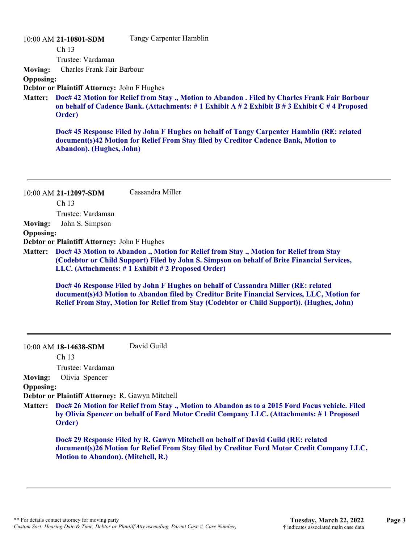## 10:00 AM **21-10801-SDM**

Tangy Carpenter Hamblin

Ch 13

Trustee: Vardaman

**Moving:** Charles Frank Fair Barbour

**Opposing:**

**Debtor or Plaintiff Attorney:** John F Hughes

**Doc# 42 Motion for Relief from Stay ., Motion to Abandon . Filed by Charles Frank Fair Barbour Matter: on behalf of Cadence Bank. (Attachments: # 1 Exhibit A # 2 Exhibit B # 3 Exhibit C # 4 Proposed Order)**

**Doc# 45 Response Filed by John F Hughes on behalf of Tangy Carpenter Hamblin (RE: related document(s)42 Motion for Relief From Stay filed by Creditor Cadence Bank, Motion to Abandon). (Hughes, John)**

|                  | 10:00 AM 21-12097-SDM                           | Cassandra Miller                                                                                                                                                                                                                                                                |
|------------------|-------------------------------------------------|---------------------------------------------------------------------------------------------------------------------------------------------------------------------------------------------------------------------------------------------------------------------------------|
|                  | Ch <sub>13</sub>                                |                                                                                                                                                                                                                                                                                 |
|                  | Trustee: Vardaman                               |                                                                                                                                                                                                                                                                                 |
| <b>Moving:</b>   | John S. Simpson                                 |                                                                                                                                                                                                                                                                                 |
| <b>Opposing:</b> |                                                 |                                                                                                                                                                                                                                                                                 |
|                  | Debtor or Plaintiff Attorney: John F Hughes     |                                                                                                                                                                                                                                                                                 |
| <b>Matter:</b>   |                                                 | Doc# 43 Motion to Abandon ., Motion for Relief from Stay ., Motion for Relief from Stay<br>(Codebtor or Child Support) Filed by John S. Simpson on behalf of Brite Financial Services,<br>LLC. (Attachments: #1 Exhibit #2 Proposed Order)                                      |
|                  |                                                 | Doc# 46 Response Filed by John F Hughes on behalf of Cassandra Miller (RE: related<br>document(s)43 Motion to Abandon filed by Creditor Brite Financial Services, LLC, Motion for<br>Relief From Stay, Motion for Relief from Stay (Codebtor or Child Support)). (Hughes, John) |
|                  | 10:00 AM 18-14638-SDM                           | David Guild                                                                                                                                                                                                                                                                     |
|                  | Ch 13                                           |                                                                                                                                                                                                                                                                                 |
|                  | Trustee: Vardaman                               |                                                                                                                                                                                                                                                                                 |
| <b>Moving:</b>   | Olivia Spencer                                  |                                                                                                                                                                                                                                                                                 |
| <b>Opposing:</b> | Debtor or Plaintiff Attorney: R. Gawyn Mitchell |                                                                                                                                                                                                                                                                                 |
| <b>Matter:</b>   |                                                 | Doc# 26 Motion for Relief from Stay., Motion to Abandon as to a 2015 Ford Focus vehicle. Filed                                                                                                                                                                                  |
|                  | Order)                                          | by Olivia Spencer on behalf of Ford Motor Credit Company LLC. (Attachments: #1 Proposed                                                                                                                                                                                         |
|                  | <b>Motion to Abandon). (Mitchell, R.)</b>       | Doc# 29 Response Filed by R. Gawyn Mitchell on behalf of David Guild (RE: related<br>document(s)26 Motion for Relief From Stay filed by Creditor Ford Motor Credit Company LLC,                                                                                                 |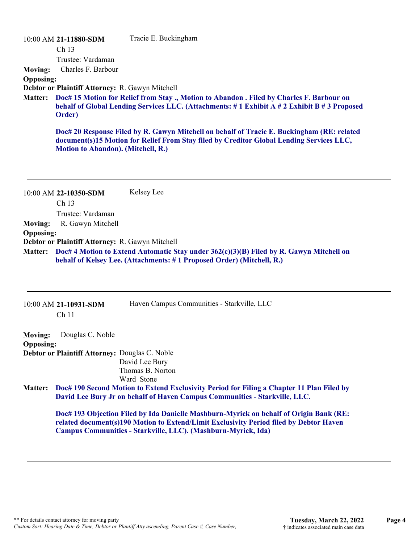|                  | 10:00 AM 21-11880-SDM                           | Tracie E. Buckingham                                                                                                                                                                   |
|------------------|-------------------------------------------------|----------------------------------------------------------------------------------------------------------------------------------------------------------------------------------------|
|                  | Ch <sub>13</sub>                                |                                                                                                                                                                                        |
|                  | Trustee: Vardaman                               |                                                                                                                                                                                        |
| <b>Moving:</b>   | Charles F. Barbour                              |                                                                                                                                                                                        |
| <b>Opposing:</b> |                                                 |                                                                                                                                                                                        |
|                  | Debtor or Plaintiff Attorney: R. Gawyn Mitchell |                                                                                                                                                                                        |
| <b>Matter:</b>   | Order)                                          | Doc# 15 Motion for Relief from Stay., Motion to Abandon. Filed by Charles F. Barbour on<br>behalf of Global Lending Services LLC. (Attachments: #1 Exhibit A #2 Exhibit B #3 Proposed  |
|                  | Motion to Abandon). (Mitchell, R.)              | Doc# 20 Response Filed by R. Gawyn Mitchell on behalf of Tracie E. Buckingham (RE: related<br>document(s)15 Motion for Relief From Stay filed by Creditor Global Lending Services LLC, |
|                  |                                                 |                                                                                                                                                                                        |
|                  | 10:00 AM 22-10350-SDM                           | Kelsey Lee                                                                                                                                                                             |
|                  | Ch <sub>13</sub>                                |                                                                                                                                                                                        |
|                  | Trustee: Vardaman                               |                                                                                                                                                                                        |
| <b>Moving:</b>   | R. Gawyn Mitchell                               |                                                                                                                                                                                        |
| <b>Opposing:</b> |                                                 |                                                                                                                                                                                        |
|                  | Debtor or Plaintiff Attorney: R. Gawyn Mitchell | Matter: Doc# 4 Motion to Extend Automatic Stay under 362(c)(3)(B) Filed by R. Gawyn Mitchell on                                                                                        |

|                                    | 10:00 AM 21-10931-SDM<br>Ch <sub>11</sub>      | Haven Campus Communities - Starkville, LLC                                                                                                                              |
|------------------------------------|------------------------------------------------|-------------------------------------------------------------------------------------------------------------------------------------------------------------------------|
| <b>Moving:</b><br><b>Opposing:</b> | Douglas C. Noble                               |                                                                                                                                                                         |
|                                    | Debtor or Plaintiff Attorney: Douglas C. Noble |                                                                                                                                                                         |
|                                    |                                                | David Lee Bury                                                                                                                                                          |
|                                    |                                                | Thomas B. Norton                                                                                                                                                        |
|                                    |                                                | Ward Stone                                                                                                                                                              |
| <b>Matter:</b>                     |                                                | Doc# 190 Second Motion to Extend Exclusivity Period for Filing a Chapter 11 Plan Filed by<br>David Lee Bury Jr on behalf of Haven Campus Communities - Starkville, LLC. |

**Doc# 193 Objection Filed by Ida Danielle Mashburn-Myrick on behalf of Origin Bank (RE: related document(s)190 Motion to Extend/Limit Exclusivity Period filed by Debtor Haven Campus Communities - Starkville, LLC). (Mashburn-Myrick, Ida)**